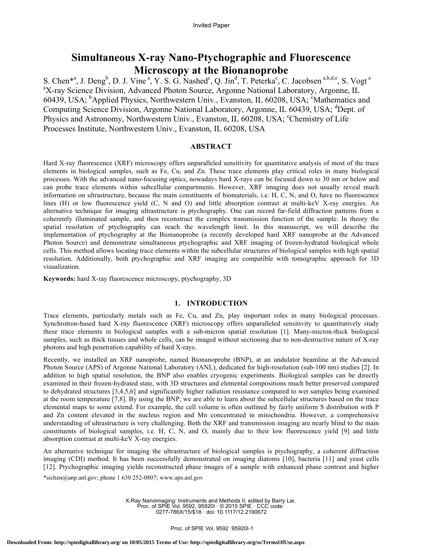# **Simultaneous X-ray Nano-Ptychographic and Fluorescence Microscopy at the Bionanoprobe**

S. Chen\*<sup>a</sup>, J. Deng<sup>b</sup>, D. J. Vine<sup>a</sup>, Y. S. G. Nashed<sup>c</sup>, Q. Jin<sup>d</sup>, T. Peterka<sup>c</sup>, C. Jacobsen<sup>a,b,d,e</sup>, S. Vogt<sup>a</sup> <sup>a</sup>X-ray Science Division, Advanced Photon Source, Argonne National Laboratory, Argonne, IL 60439, USA; <sup>b</sup>Applied Physics, Northwestern Univ., Evanston, IL 60208, USA; <sup>c</sup>Mathematics and Computing Science Division, Argonne National Laboratory, Argonne, IL 60439, USA; <sup>d</sup>Dept. of Physics and Astronomy, Northwestern Univ., Evanston, IL 60208, USA; <sup>e</sup>Chemistry of Life Processes Institute, Northwestern Univ., Evanston, IL 60208, USA

# **ABSTRACT**

Hard X-ray fluorescence (XRF) microscopy offers unparalleled sensitivity for quantitative analysis of most of the trace elements in biological samples, such as Fe, Cu, and Zn. These trace elements play critical roles in many biological processes. With the advanced nano-focusing optics, nowadays hard X-rays can be focused down to 30 nm or below and can probe trace elements within subcellular compartments. However, XRF imaging does not usually reveal much information on ultrastructure, because the main constituents of biomaterials, i.e. H, C, N, and O, have no fluorescence lines (H) or low fluorescence yield (C, N and O) and little absorption contrast at multi-keV X-ray energies. An alternative technique for imaging ultrastructure is ptychography. One can record far-field diffraction patterns from a coherently illuminated sample, and then reconstruct the complex transmission function of the sample. In theory the spatial resolution of ptychography can reach the wavelength limit. In this manuscript, we will describe the implementation of ptychography at the Bionanoprobe (a recently developed hard XRF nanoprobe at the Advanced Photon Source) and demonstrate simultaneous ptychographic and XRF imaging of frozen-hydrated biological whole cells. This method allows locating trace elements within the subcellular structures of biological samples with high spatial resolution. Additionally, both ptychographic and XRF imaging are compatible with tomographic approach for 3D visualization.

**Keywords:** hard X-ray fluorescence microscopy, ptychography, 3D

#### **1. INTRODUCTION**

Trace elements, particularly metals such as Fe, Cu, and Zn, play important roles in many biological processes. Synchrotron-based hard X-ray fluorescence (XRF) microscopy offers unparalleled sensitivity to quantitatively study these trace elements in biological samples with a sub-micron spatial resolution [1]. Many-micron-thick biological samples, such as thick tissues and whole cells, can be imaged without sectioning due to non-destructive nature of X-ray photons and high penetration capability of hard X-rays.

Recently, we installed an XRF nanoprobe, named Bionanoprobe (BNP), at an undulator beamline at the Advanced Photon Source (APS) of Argonne National Laboratory (ANL), dedicated for high-resolution (sub-100 nm) studies [2]. In addition to high spatial resolution, the BNP also enables cryogenic experiments. Biological samples can be directly examined in their frozen-hydrated state, with 3D structures and elemental compositions much better preserved compared to dehydrated structures [3,4,5,6] and significantly higher radiation resistance compared to wet samples being examined at the room temperature [7,8]. By using the BNP, we are able to learn about the subcellular structures based on the trace elemental maps to some extend. For example, the cell volume is often outlined by fairly uniform S distribution with P and Zn content elevated in the nucleus region and Mn concentrated in mitochondria. However, a comprehensive understanding of ultrastructure is very challenging. Both the XRF and transmission imaging are nearly blind to the main constituents of biological samples, i.e. H, C, N, and O, mainly due to their low fluorescence yield [9] and little absorption contrast at multi-keV X-ray energies.

\*sichen@anp.anl.gov; phone 1 630 252-0807; www.aps.anl.gov An alternative technique for imaging the ultrastructure of biological samples is ptychography, a coherent diffraction imaging (CDI) method. It has been successfully demonstrated on imaging diatoms [10], bacteria [11] and yeast cells [12]. Ptychographic imaging yields reconstructed phase images of a sample with enhanced phase contrast and higher

> X-Ray Nanoimaging: Instruments and Methods II, edited by Barry Lai, Proc. of SPIE Vol. 9592, 95920I · © 2015 SPIE · CCC code: 0277-786X/15/\$18 · doi: 10.1117/12.2190672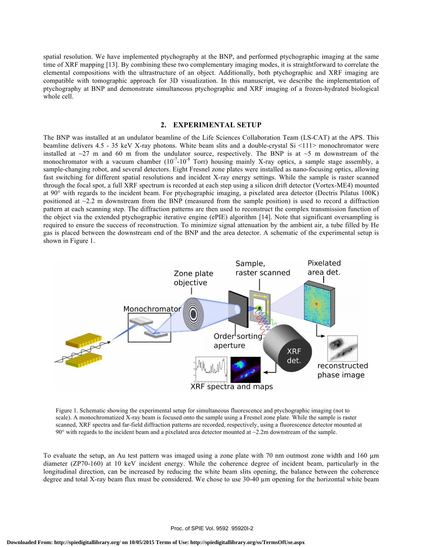spatial resolution. We have implemented ptychography at the BNP, and performed ptychographic imaging at the same time of XRF mapping [13]. By combining these two complementary imaging modes, it is straightforward to correlate the elemental compositions with the ultrastructure of an object. Additionally, both ptychographic and XRF imaging are compatible with tomographic approach for 3D visualization. In this manuscript, we describe the implementation of ptychography at BNP and demonstrate simultaneous ptychographic and XRF imaging of a frozen-hydrated biological whole cell.

#### **2. EXPERIMENTAL SETUP**

The BNP was installed at an undulator beamline of the Life Sciences Collaboration Team (LS-CAT) at the APS. This beamline delivers 4.5 - 35 keV X-ray photons. White beam slits and a double-crystal Si <111> monochromator were installed at  $\sim$ 27 m and 60 m from the undulator source, respectively. The BNP is at  $\sim$ 5 m downstream of the monochromator with a vacuum chamber  $(10^{-7} - 10^{-8}$  Torr) housing mainly X-ray optics, a sample stage assembly, a sample-changing robot, and several detectors. Eight Fresnel zone plates were installed as nano-focusing optics, allowing fast switching for different spatial resolutions and incident X-ray energy settings. While the sample is raster scanned through the focal spot, a full XRF spectrum is recorded at each step using a silicon drift detector (Vortex-ME4) mounted at 90° with regards to the incident beam. For ptychographic imaging, a pixelated area detector (Dectris Pilatus 100K) positioned at  $\sim$ 2.2 m downstream from the BNP (measured from the sample position) is used to record a diffraction pattern at each scanning step. The diffraction patterns are then used to reconstruct the complex transmission function of the object via the extended ptychographic iterative engine (ePIE) algorithm [14]. Note that significant oversampling is required to ensure the success of reconstruction. To minimize signal attenuation by the ambient air, a tube filled by He gas is placed between the downstream end of the BNP and the area detector. A schematic of the experimental setup is shown in Figure 1.



Figure 1. Schematic showing the experimental setup for simultaneous fluorescence and ptychographic imaging (not to scale). A monochromatized X-ray beam is focused onto the sample using a Fresnel zone plate. While the sample is raster scanned, XRF spectra and far-field diffraction patterns are recorded, respectively, using a fluorescence detector mounted at 90 $\degree$  with regards to the incident beam and a pixelated area detector mounted at  $\sim$ 2.2m downstream of the sample.

To evaluate the setup, an Au test pattern was imaged using a zone plate with 70 nm outmost zone width and 160 µm diameter (ZP70-160) at 10 keV incident energy. While the coherence degree of incident beam, particularly in the longitudinal direction, can be increased by reducing the white beam slits opening, the balance between the coherence degree and total X-ray beam flux must be considered. We chose to use 30-40 µm opening for the horizontal white beam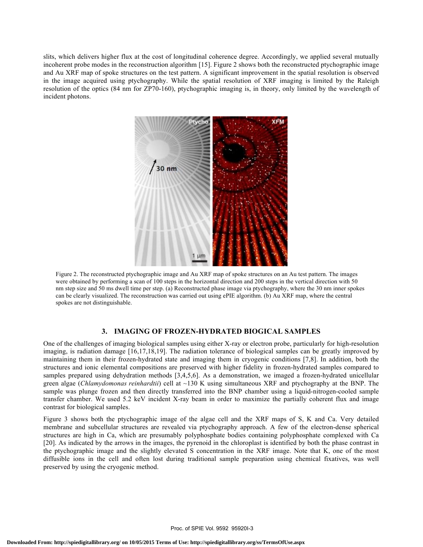slits, which delivers higher flux at the cost of longitudinal coherence degree. Accordingly, we applied several mutually incoherent probe modes in the reconstruction algorithm [15]. Figure 2 shows both the reconstructed ptychographic image and Au XRF map of spoke structures on the test pattern. A significant improvement in the spatial resolution is observed in the image acquired using ptychography. While the spatial resolution of XRF imaging is limited by the Raleigh resolution of the optics (84 nm for ZP70-160), ptychographic imaging is, in theory, only limited by the wavelength of incident photons.



Figure 2. The reconstructed ptychographic image and Au XRF map of spoke structures on an Au test pattern. The images were obtained by performing a scan of 100 steps in the horizontal direction and 200 steps in the vertical direction with 50 nm step size and 50 ms dwell time per step. (a) Reconstructed phase image via ptychography, where the 30 nm inner spokes can be clearly visualized. The reconstruction was carried out using ePIE algorithm. (b) Au XRF map, where the central spokes are not distinguishable.

# **3. IMAGING OF FROZEN-HYDRATED BIOGICAL SAMPLES**

One of the challenges of imaging biological samples using either X-ray or electron probe, particularly for high-resolution imaging, is radiation damage [16,17,18,19]. The radiation tolerance of biological samples can be greatly improved by maintaining them in their frozen-hydrated state and imaging them in cryogenic conditions [7,8]. In addition, both the structures and ionic elemental compositions are preserved with higher fidelity in frozen-hydrated samples compared to samples prepared using dehydration methods [3,4,5,6]. As a demonstration, we imaged a frozen-hydrated unicellular green algae (*Chlamydomonas reinhardtii*) cell at ~130 K using simultaneous XRF and ptychography at the BNP. The sample was plunge frozen and then directly transferred into the BNP chamber using a liquid-nitrogen-cooled sample transfer chamber. We used 5.2 keV incident X-ray beam in order to maximize the partially coherent flux and image contrast for biological samples.

Figure 3 shows both the ptychographic image of the algae cell and the XRF maps of S, K and Ca. Very detailed membrane and subcellular structures are revealed via ptychography approach. A few of the electron-dense spherical structures are high in Ca, which are presumably polyphosphate bodies containing polyphosphate complexed with Ca [20]. As indicated by the arrows in the images, the pyrenoid in the chloroplast is identified by both the phase contrast in the ptychographic image and the slightly elevated S concentration in the XRF image. Note that K, one of the most diffusible ions in the cell and often lost during traditional sample preparation using chemical fixatives, was well preserved by using the cryogenic method.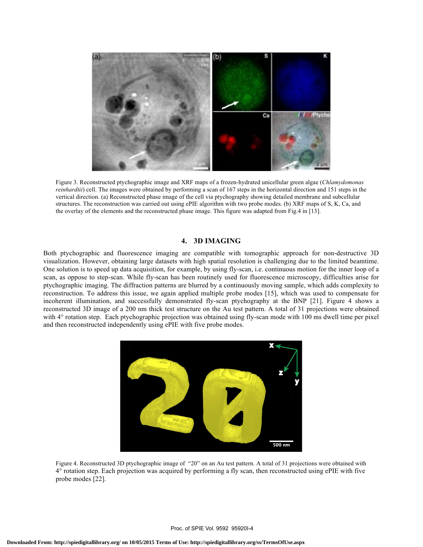

Figure 3. Reconstructed ptychographic image and XRF maps of a frozen-hydrated unicellular green algae (*Chlamydomonas reinhardtii*) cell. The images were obtained by performing a scan of 167 steps in the horizontal direction and 151 steps in the vertical direction. (a) Reconstructed phase image of the cell via ptychography showing detailed membrane and subcellular structures. The reconstruction was carried out using ePIE algorithm with two probe modes. (b) XRF maps of S, K, Ca, and the overlay of the elements and the reconstructed phase image. This figure was adapted from Fig.4 in [13].

# **4. 3D IMAGING**

Both ptychographic and fluorescence imaging are compatible with tomographic approach for non-destructive 3D visualization. However, obtaining large datasets with high spatial resolution is challenging due to the limited beamtime. One solution is to speed up data acquisition, for example, by using fly-scan, i.e. continuous motion for the inner loop of a scan, as oppose to step-scan. While fly-scan has been routinely used for fluorescence microscopy, difficulties arise for ptychographic imaging. The diffraction patterns are blurred by a continuously moving sample, which adds complexity to reconstruction. To address this issue, we again applied multiple probe modes [15], which was used to compensate for incoherent illumination, and successfully demonstrated fly-scan ptychography at the BNP [21]. Figure 4 shows a reconstructed 3D image of a 200 nm thick test structure on the Au test pattern. A total of 31 projections were obtained with 4° rotation step. Each ptychographic projection was obtained using fly-scan mode with 100 ms dwell time per pixel and then reconstructed independently using ePIE with five probe modes.



Figure 4. Reconstructed 3D ptychographic image of "20" on an Au test pattern. A total of 31 projections were obtained with 4° rotation step. Each projection was acquired by performing a fly scan, then reconstructed using ePIE with five probe modes [22].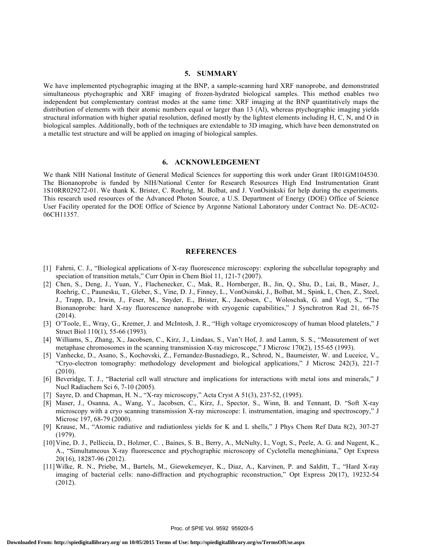### **5. SUMMARY**

We have implemented ptychographic imaging at the BNP, a sample-scanning hard XRF nanoprobe, and demonstrated simultaneous ptychographic and XRF imaging of frozen-hydrated biological samples. This method enables two independent but complementary contrast modes at the same time: XRF imaging at the BNP quantitatively maps the distribution of elements with their atomic numbers equal or larger than 13 (Al), whereas ptychographic imaging yields structural information with higher spatial resolution, defined mostly by the lightest elements including H, C, N, and O in biological samples. Additionally, both of the techniques are extendable to 3D imaging, which have been demonstrated on a metallic test structure and will be applied on imaging of biological samples.

#### **6. ACKNOWLEDGEMENT**

We thank NIH National Institute of General Medical Sciences for supporting this work under Grant 1R01GM104530. The Bionanoprobe is funded by NIH/National Center for Research Resources High End Instrumentation Grant 1S10RR029272-01. We thank K. Brister, C. Roehrig, M. Bolbat, and J. VonOsinkski for help during the experiments. This research used resources of the Advanced Photon Source, a U.S. Department of Energy (DOE) Office of Science User Facility operated for the DOE Office of Science by Argonne National Laboratory under Contract No. DE-AC02- 06CH11357.

#### **REFERENCES**

- [1] Fahrni, C. J., "Biological applications of X-ray fluorescence microscopy: exploring the subcellular topography and speciation of transition metals," Curr Opin in Chem Biol 11, 121-7 (2007).
- [2] Chen, S., Deng, J., Yuan, Y., Flachenecker, C., Mak, R., Hornberger, B., Jin, Q., Shu, D., Lai, B., Maser, J., Roehrig, C., Paunesku, T., Gleber, S., Vine, D. J., Finney, L., VonOsinski, J., Bolbat, M., Spink, I., Chen, Z., Steel, J., Trapp, D., Irwin, J., Feser, M., Snyder, E., Brister, K., Jacobsen, C., Woloschak, G. and Vogt, S., "The Bionanoprobe: hard X-ray fluorescence nanoprobe with cryogenic capabilities," J Synchrotron Rad 21, 66-75 (2014).
- [3] O'Toole, E., Wray, G., Kremer, J. and McIntosh, J. R., "High voltage cryomicroscopy of human blood platelets," J Struct Biol 110(1), 55-66 (1993).
- [4] Williams, S., Zhang, X., Jacobsen, C., Kirz, J., Lindaas, S., Van't Hof, J. and Lamm, S. S., "Measurement of wet metaphase chromosomes in the scanning transmission X-ray microscope," J Microsc 170(2), 155-65 (1993).
- [5] Vanhecke, D., Asano, S., Kochovski, Z., Fernandez-Busnadiego, R., Schrod, N., Baumeister, W. and Luceice, V., "Cryo-electron tomography: methodology development and biological applications," J Microsc 242(3), 221-7 (2010).
- [6] Beveridge, T. J., "Bacterial cell wall structure and implications for interactions with metal ions and minerals," J Nucl Radiachem Sci 6, 7-10 (2005).
- [7] Sayre, D. and Chapman, H. N., "X-ray microscopy," Acta Cryst A 51(3), 237-52, (1995).
- [8] Maser, J., Osanna, A., Wang, Y., Jacobsen, C., Kirz, J., Spector, S., Winn, B. and Tennant, D. "Soft X-ray microscopy with a cryo scanning transmission X-ray microscope: I. instrumentation, imaging and spectroscopy," J Microsc 197, 68-79 (2000).
- [9] Krause, M., "Atomic radiative and radiationless yields for K and L shells," J Phys Chem Ref Data 8(2), 307-27 (1979).
- [10]Vine, D. J., Pelliccia, D., Holzner, C. , Baines, S. B., Berry, A., McNulty, I., Vogt, S., Peele, A. G. and Nugent, K., A., "Simultatneous X-ray fluorescence and ptychographic microscopy of Cyclotella meneghiniana," Opt Express 20(16), 18287-96 (2012).
- [11]Wilke, R. N., Priebe, M., Bartels, M., Giewekemeyer, K., Diaz, A., Karvinen, P. and Salditt, T., "Hard X-ray imaging of bacterial cells: nano-diffraction and ptychographic reconstruction," Opt Express 20(17), 19232-54 (2012).